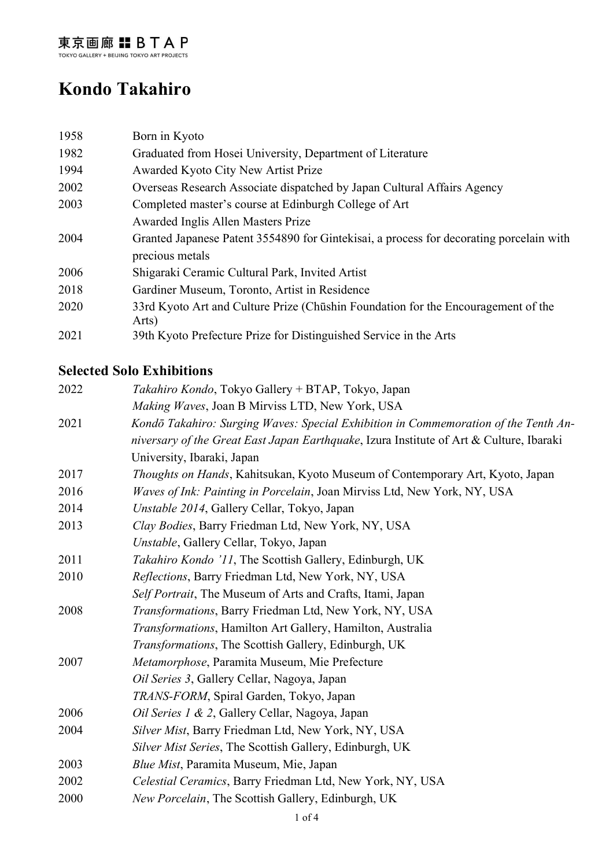# **Kondo Takahiro**

| 1958 | Born in Kyoto                                                                              |
|------|--------------------------------------------------------------------------------------------|
| 1982 | Graduated from Hosei University, Department of Literature                                  |
| 1994 | Awarded Kyoto City New Artist Prize                                                        |
| 2002 | Overseas Research Associate dispatched by Japan Cultural Affairs Agency                    |
| 2003 | Completed master's course at Edinburgh College of Art                                      |
|      | Awarded Inglis Allen Masters Prize                                                         |
| 2004 | Granted Japanese Patent 3554890 for Gintekisai, a process for decorating porcelain with    |
|      | precious metals                                                                            |
| 2006 | Shigaraki Ceramic Cultural Park, Invited Artist                                            |
| 2018 | Gardiner Museum, Toronto, Artist in Residence                                              |
| 2020 | 33rd Kyoto Art and Culture Prize (Chūshin Foundation for the Encouragement of the<br>Arts) |
| 2021 | 39th Kyoto Prefecture Prize for Distinguished Service in the Arts                          |

## **Selected Solo Exhibitions**

| 2022 | Takahiro Kondo, Tokyo Gallery + BTAP, Tokyo, Japan                                      |
|------|-----------------------------------------------------------------------------------------|
|      | Making Waves, Joan B Mirviss LTD, New York, USA                                         |
| 2021 | Kondō Takahiro: Surging Waves: Special Exhibition in Commemoration of the Tenth An-     |
|      | niversary of the Great East Japan Earthquake, Izura Institute of Art & Culture, Ibaraki |
|      | University, Ibaraki, Japan                                                              |
| 2017 | Thoughts on Hands, Kahitsukan, Kyoto Museum of Contemporary Art, Kyoto, Japan           |
| 2016 | Waves of Ink: Painting in Porcelain, Joan Mirviss Ltd, New York, NY, USA                |
| 2014 | Unstable 2014, Gallery Cellar, Tokyo, Japan                                             |
| 2013 | Clay Bodies, Barry Friedman Ltd, New York, NY, USA                                      |
|      | Unstable, Gallery Cellar, Tokyo, Japan                                                  |
| 2011 | Takahiro Kondo '11, The Scottish Gallery, Edinburgh, UK                                 |
| 2010 | Reflections, Barry Friedman Ltd, New York, NY, USA                                      |
|      | Self Portrait, The Museum of Arts and Crafts, Itami, Japan                              |
| 2008 | Transformations, Barry Friedman Ltd, New York, NY, USA                                  |
|      | Transformations, Hamilton Art Gallery, Hamilton, Australia                              |
|      | Transformations, The Scottish Gallery, Edinburgh, UK                                    |
| 2007 | Metamorphose, Paramita Museum, Mie Prefecture                                           |
|      | Oil Series 3, Gallery Cellar, Nagoya, Japan                                             |
|      | TRANS-FORM, Spiral Garden, Tokyo, Japan                                                 |
| 2006 | Oil Series 1 & 2, Gallery Cellar, Nagoya, Japan                                         |
| 2004 | Silver Mist, Barry Friedman Ltd, New York, NY, USA                                      |
|      | Silver Mist Series, The Scottish Gallery, Edinburgh, UK                                 |
| 2003 | Blue Mist, Paramita Museum, Mie, Japan                                                  |
| 2002 | Celestial Ceramics, Barry Friedman Ltd, New York, NY, USA                               |
| 2000 | New Porcelain, The Scottish Gallery, Edinburgh, UK                                      |
|      |                                                                                         |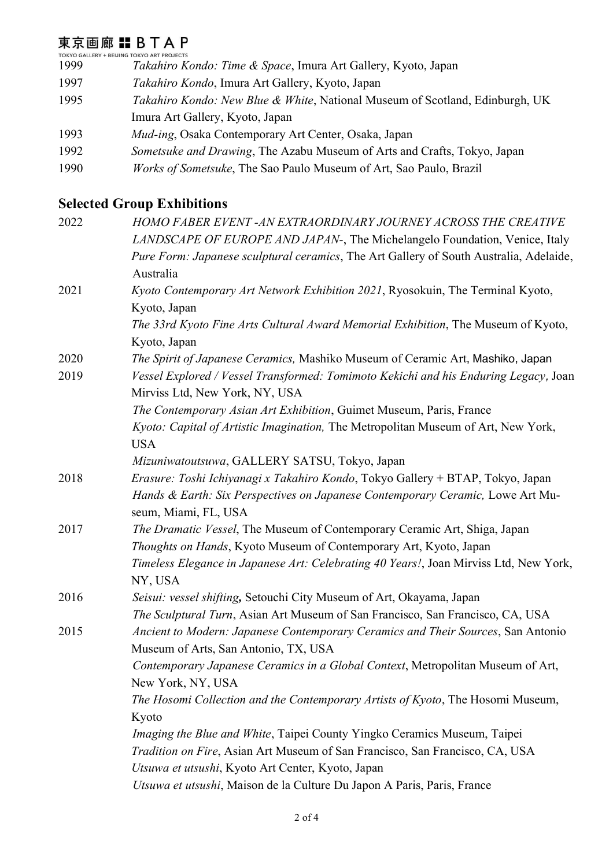## 東京画廊 : BTAP

TOKYO GALLERY + BEIJING TOKYO ART PROJECTS 1999 *Takahiro Kondo: Time & Space*, Imura Art Gallery, Kyoto, Japan

- 1997 *Takahiro Kondo*, Imura Art Gallery, Kyoto, Japan
- 1995 *Takahiro Kondo: New Blue & White*, National Museum of Scotland, Edinburgh, UK Imura Art Gallery, Kyoto, Japan
- 1993 *Mud-ing*, Osaka Contemporary Art Center, Osaka, Japan
- 1992 *Sometsuke and Drawing*, The Azabu Museum of Arts and Crafts, Tokyo, Japan
- 1990 *Works of Sometsuke*, The Sao Paulo Museum of Art, Sao Paulo, Brazil

#### **Selected Group Exhibitions**

| 2022 | HOMO FABER EVENT -AN EXTRAORDINARY JOURNEY ACROSS THE CREATIVE                                                         |
|------|------------------------------------------------------------------------------------------------------------------------|
|      | LANDSCAPE OF EUROPE AND JAPAN-, The Michelangelo Foundation, Venice, Italy                                             |
|      | Pure Form: Japanese sculptural ceramics, The Art Gallery of South Australia, Adelaide,                                 |
|      | Australia                                                                                                              |
| 2021 | Kyoto Contemporary Art Network Exhibition 2021, Ryosokuin, The Terminal Kyoto,                                         |
|      | Kyoto, Japan                                                                                                           |
|      | The 33rd Kyoto Fine Arts Cultural Award Memorial Exhibition, The Museum of Kyoto,                                      |
|      | Kyoto, Japan                                                                                                           |
| 2020 | The Spirit of Japanese Ceramics, Mashiko Museum of Ceramic Art, Mashiko, Japan                                         |
| 2019 | Vessel Explored / Vessel Transformed: Tomimoto Kekichi and his Enduring Legacy, Joan<br>Mirviss Ltd, New York, NY, USA |
|      | The Contemporary Asian Art Exhibition, Guimet Museum, Paris, France                                                    |
|      | Kyoto: Capital of Artistic Imagination, The Metropolitan Museum of Art, New York,                                      |
|      | <b>USA</b>                                                                                                             |
|      | Mizuniwatoutsuwa, GALLERY SATSU, Tokyo, Japan                                                                          |
| 2018 | Erasure: Toshi Ichiyanagi x Takahiro Kondo, Tokyo Gallery + BTAP, Tokyo, Japan                                         |
|      | Hands & Earth: Six Perspectives on Japanese Contemporary Ceramic, Lowe Art Mu-<br>seum, Miami, FL, USA                 |
| 2017 | The Dramatic Vessel, The Museum of Contemporary Ceramic Art, Shiga, Japan                                              |
|      | Thoughts on Hands, Kyoto Museum of Contemporary Art, Kyoto, Japan                                                      |
|      | Timeless Elegance in Japanese Art: Celebrating 40 Years!, Joan Mirviss Ltd, New York,                                  |
|      | NY, USA                                                                                                                |
| 2016 | Seisui: vessel shifting, Setouchi City Museum of Art, Okayama, Japan                                                   |
|      | The Sculptural Turn, Asian Art Museum of San Francisco, San Francisco, CA, USA                                         |
| 2015 | Ancient to Modern: Japanese Contemporary Ceramics and Their Sources, San Antonio                                       |
|      | Museum of Arts, San Antonio, TX, USA                                                                                   |
|      | Contemporary Japanese Ceramics in a Global Context, Metropolitan Museum of Art,                                        |
|      | New York, NY, USA                                                                                                      |
|      | The Hosomi Collection and the Contemporary Artists of Kyoto, The Hosomi Museum,                                        |
|      | Kyoto                                                                                                                  |
|      | Imaging the Blue and White, Taipei County Yingko Ceramics Museum, Taipei                                               |
|      | Tradition on Fire, Asian Art Museum of San Francisco, San Francisco, CA, USA                                           |
|      | Utsuwa et utsushi, Kyoto Art Center, Kyoto, Japan                                                                      |
|      | Utsuwa et utsushi, Maison de la Culture Du Japon A Paris, Paris, France                                                |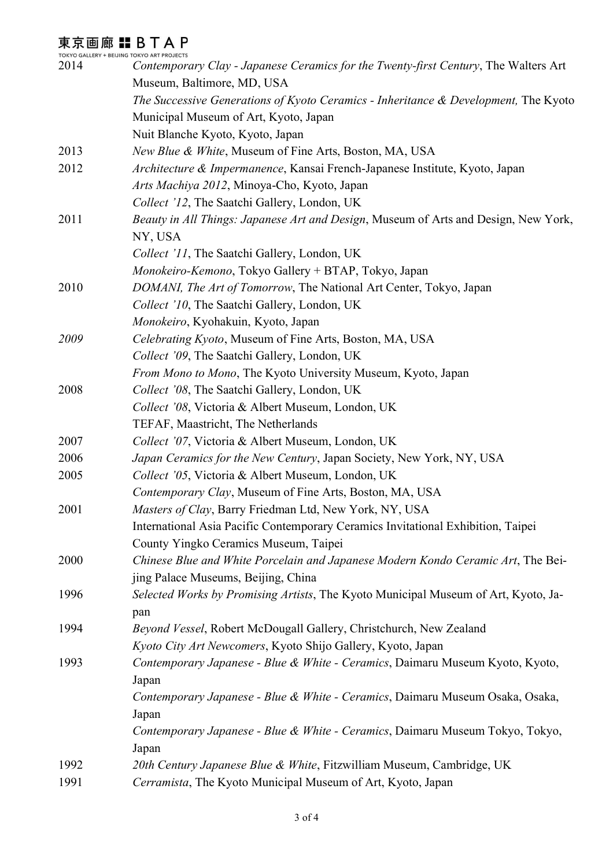## 東京画廊 : BTAP

|      | TOKYO GALLERY + BEIJING TOKYO ART PROJECTS                                                     |
|------|------------------------------------------------------------------------------------------------|
| 2014 | Contemporary Clay - Japanese Ceramics for the Twenty-first Century, The Walters Art            |
|      | Museum, Baltimore, MD, USA                                                                     |
|      | The Successive Generations of Kyoto Ceramics - Inheritance & Development, The Kyoto            |
|      | Municipal Museum of Art, Kyoto, Japan                                                          |
|      | Nuit Blanche Kyoto, Kyoto, Japan                                                               |
| 2013 | New Blue & White, Museum of Fine Arts, Boston, MA, USA                                         |
| 2012 | Architecture & Impermanence, Kansai French-Japanese Institute, Kyoto, Japan                    |
|      | Arts Machiya 2012, Minoya-Cho, Kyoto, Japan                                                    |
|      | Collect '12, The Saatchi Gallery, London, UK                                                   |
| 2011 | Beauty in All Things: Japanese Art and Design, Museum of Arts and Design, New York,<br>NY, USA |
|      | Collect '11, The Saatchi Gallery, London, UK                                                   |
|      | Monokeiro-Kemono, Tokyo Gallery + BTAP, Tokyo, Japan                                           |
| 2010 | DOMANI, The Art of Tomorrow, The National Art Center, Tokyo, Japan                             |
|      | Collect '10, The Saatchi Gallery, London, UK                                                   |
|      | Monokeiro, Kyohakuin, Kyoto, Japan                                                             |
| 2009 | Celebrating Kyoto, Museum of Fine Arts, Boston, MA, USA                                        |
|      | Collect '09, The Saatchi Gallery, London, UK                                                   |
|      | From Mono to Mono, The Kyoto University Museum, Kyoto, Japan                                   |
| 2008 | Collect '08, The Saatchi Gallery, London, UK                                                   |
|      | Collect '08, Victoria & Albert Museum, London, UK                                              |
|      | TEFAF, Maastricht, The Netherlands                                                             |
| 2007 | Collect '07, Victoria & Albert Museum, London, UK                                              |
| 2006 | Japan Ceramics for the New Century, Japan Society, New York, NY, USA                           |
| 2005 | Collect '05, Victoria & Albert Museum, London, UK                                              |
|      | Contemporary Clay, Museum of Fine Arts, Boston, MA, USA                                        |
| 2001 | Masters of Clay, Barry Friedman Ltd, New York, NY, USA                                         |
|      | International Asia Pacific Contemporary Ceramics Invitational Exhibition, Taipei               |
|      | County Yingko Ceramics Museum, Taipei                                                          |
| 2000 | Chinese Blue and White Porcelain and Japanese Modern Kondo Ceramic Art, The Bei-               |
|      | jing Palace Museums, Beijing, China                                                            |
| 1996 | Selected Works by Promising Artists, The Kyoto Municipal Museum of Art, Kyoto, Ja-             |
|      | pan                                                                                            |
| 1994 | Beyond Vessel, Robert McDougall Gallery, Christchurch, New Zealand                             |
|      | Kyoto City Art Newcomers, Kyoto Shijo Gallery, Kyoto, Japan                                    |
| 1993 | Contemporary Japanese - Blue & White - Ceramics, Daimaru Museum Kyoto, Kyoto,                  |
|      | Japan                                                                                          |
|      | Contemporary Japanese - Blue & White - Ceramics, Daimaru Museum Osaka, Osaka,                  |
|      | Japan                                                                                          |
|      | Contemporary Japanese - Blue & White - Ceramics, Daimaru Museum Tokyo, Tokyo,                  |
|      | Japan                                                                                          |
| 1992 | 20th Century Japanese Blue & White, Fitzwilliam Museum, Cambridge, UK                          |
| 1991 | Cerramista, The Kyoto Municipal Museum of Art, Kyoto, Japan                                    |
|      |                                                                                                |